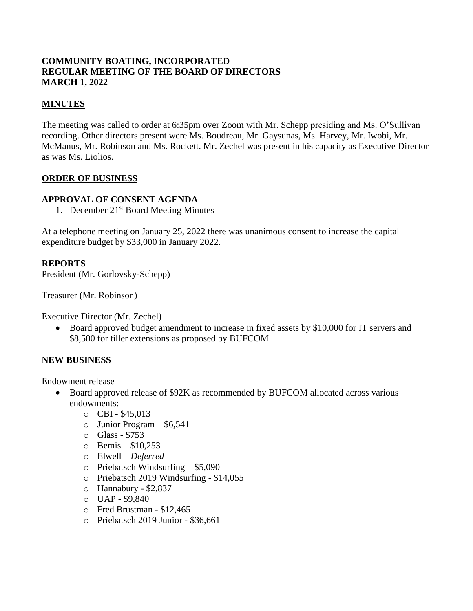# **COMMUNITY BOATING, INCORPORATED REGULAR MEETING OF THE BOARD OF DIRECTORS MARCH 1, 2022**

# **MINUTES**

The meeting was called to order at 6:35pm over Zoom with Mr. Schepp presiding and Ms. O'Sullivan recording. Other directors present were Ms. Boudreau, Mr. Gaysunas, Ms. Harvey, Mr. Iwobi, Mr. McManus, Mr. Robinson and Ms. Rockett. Mr. Zechel was present in his capacity as Executive Director as was Ms. Liolios.

## **ORDER OF BUSINESS**

## **APPROVAL OF CONSENT AGENDA**

1. December 21<sup>st</sup> Board Meeting Minutes

At a telephone meeting on January 25, 2022 there was unanimous consent to increase the capital expenditure budget by \$33,000 in January 2022.

## **REPORTS**

President (Mr. Gorlovsky-Schepp)

Treasurer (Mr. Robinson)

Executive Director (Mr. Zechel)

• Board approved budget amendment to increase in fixed assets by \$10,000 for IT servers and \$8,500 for tiller extensions as proposed by BUFCOM

## **NEW BUSINESS**

Endowment release

- Board approved release of \$92K as recommended by BUFCOM allocated across various endowments:
	- o CBI \$45,013
	- $\circ$  Junior Program \$6,541
	- o Glass \$753
	- $\circ$  Bemis \$10,253
	- o Elwell *Deferred*
	- o Priebatsch Windsurfing \$5,090
	- o Priebatsch 2019 Windsurfing \$14,055
	- o Hannabury \$2,837
	- o UAP \$9,840
	- o Fred Brustman \$12,465
	- o Priebatsch 2019 Junior \$36,661